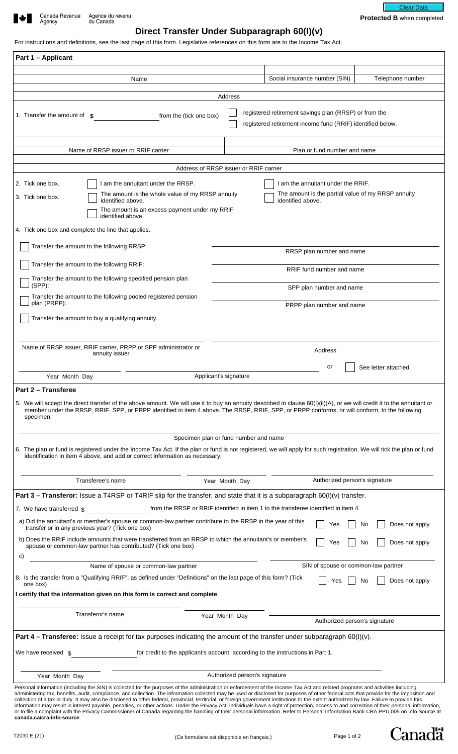Canada Revenue Agence du revenu<br>Agency du Canada ▌✦▋

|                                                                                   | For instructions and definitions, see the last page of this form. Legislative references on this form are to the Income Tax Act.                                                                                                                                                                                         |                                        |                                                                         |                               |
|-----------------------------------------------------------------------------------|--------------------------------------------------------------------------------------------------------------------------------------------------------------------------------------------------------------------------------------------------------------------------------------------------------------------------|----------------------------------------|-------------------------------------------------------------------------|-------------------------------|
|                                                                                   |                                                                                                                                                                                                                                                                                                                          |                                        |                                                                         |                               |
| Part 1 - Applicant                                                                |                                                                                                                                                                                                                                                                                                                          |                                        |                                                                         |                               |
|                                                                                   | Name                                                                                                                                                                                                                                                                                                                     |                                        | Social insurance number (SIN)                                           | Telephone number              |
|                                                                                   |                                                                                                                                                                                                                                                                                                                          |                                        |                                                                         |                               |
|                                                                                   |                                                                                                                                                                                                                                                                                                                          | Address                                |                                                                         |                               |
| 1. Transfer the amount of s                                                       | from the (tick one box)                                                                                                                                                                                                                                                                                                  |                                        | registered retirement savings plan (RRSP) or from the                   |                               |
|                                                                                   |                                                                                                                                                                                                                                                                                                                          |                                        | registered retirement income fund (RRIF) identified below.              |                               |
|                                                                                   |                                                                                                                                                                                                                                                                                                                          |                                        |                                                                         |                               |
|                                                                                   | Name of RRSP issuer or RRIF carrier                                                                                                                                                                                                                                                                                      |                                        | Plan or fund number and name                                            |                               |
|                                                                                   |                                                                                                                                                                                                                                                                                                                          | Address of RRSP issuer or RRIF carrier |                                                                         |                               |
| 2. Tick one box.                                                                  | am the annuitant under the RRSP.                                                                                                                                                                                                                                                                                         |                                        | am the annuitant under the RRIF.                                        |                               |
| 3. Tick one box.                                                                  | The amount is the whole value of my RRSP annuity<br>identified above.                                                                                                                                                                                                                                                    |                                        | The amount is the partial value of my RRSP annuity<br>identified above. |                               |
|                                                                                   | The amount is an excess payment under my RRIF<br>identified above.                                                                                                                                                                                                                                                       |                                        |                                                                         |                               |
| 4. Tick one box and complete the line that applies.                               |                                                                                                                                                                                                                                                                                                                          |                                        |                                                                         |                               |
|                                                                                   |                                                                                                                                                                                                                                                                                                                          |                                        |                                                                         |                               |
|                                                                                   | Transfer the amount to the following RRSP:                                                                                                                                                                                                                                                                               |                                        | RRSP plan number and name                                               |                               |
|                                                                                   | Transfer the amount to the following RRIF:                                                                                                                                                                                                                                                                               |                                        |                                                                         |                               |
| Transfer the amount to the following specified pension plan                       |                                                                                                                                                                                                                                                                                                                          |                                        | RRIF fund number and name                                               |                               |
| (SPP):                                                                            |                                                                                                                                                                                                                                                                                                                          |                                        | SPP plan number and name                                                |                               |
| Transfer the amount to the following pooled registered pension<br>plan (PRPP):    |                                                                                                                                                                                                                                                                                                                          | PRPP plan number and name              |                                                                         |                               |
|                                                                                   | Transfer the amount to buy a qualifying annuity.                                                                                                                                                                                                                                                                         |                                        |                                                                         |                               |
|                                                                                   |                                                                                                                                                                                                                                                                                                                          |                                        |                                                                         |                               |
|                                                                                   |                                                                                                                                                                                                                                                                                                                          |                                        |                                                                         |                               |
| Name of RRSP issuer, RRIF carrier, PRPP or SPP administrator or<br>annuity issuer |                                                                                                                                                                                                                                                                                                                          |                                        | Address                                                                 |                               |
|                                                                                   |                                                                                                                                                                                                                                                                                                                          |                                        | or                                                                      | See letter attached.          |
| Year Month Day                                                                    |                                                                                                                                                                                                                                                                                                                          | Applicant's signature                  |                                                                         |                               |
| Part 2 - Transferee                                                               |                                                                                                                                                                                                                                                                                                                          |                                        |                                                                         |                               |
| specimen:                                                                         | 5. We will accept the direct transfer of the above amount. We will use it to buy an annuity described in clause 60(I)(ii)(A), or we will credit it to the annuitant or<br>member under the RRSP, RRIF, SPP, or PRPP identified in item 4 above. The RRSP, RRIF, SPP, or PRPP conforms, or will conform, to the following |                                        |                                                                         |                               |
|                                                                                   |                                                                                                                                                                                                                                                                                                                          |                                        |                                                                         |                               |
|                                                                                   |                                                                                                                                                                                                                                                                                                                          | Specimen plan or fund number and name  |                                                                         |                               |
|                                                                                   | 6. The plan or fund is registered under the Income Tax Act. If the plan or fund is not registered, we will apply for such registration. We will tick the plan or fund<br>identification in item 4 above, and add or correct information as necessary.                                                                    |                                        |                                                                         |                               |
|                                                                                   |                                                                                                                                                                                                                                                                                                                          |                                        |                                                                         | Authorized person's signature |

Clear Data

| 5. We will accept the direct transfer of the above amount. We will use it to buy an annuity described in clause 60(1)(11)(A), or we will credit it to the annuitant or<br>member under the RRSP, RRIF, SPP, or PRPP identified in item 4 above. The RRSP, RRIF, SPP, or PRPP conforms, or will conform, to the following<br>specimen: |                |                               |  |  |  |
|---------------------------------------------------------------------------------------------------------------------------------------------------------------------------------------------------------------------------------------------------------------------------------------------------------------------------------------|----------------|-------------------------------|--|--|--|
| Specimen plan or fund number and name                                                                                                                                                                                                                                                                                                 |                |                               |  |  |  |
| 6. The plan or fund is registered under the Income Tax Act. If the plan or fund is not registered, we will apply for such registration. We will tick the plan or fund<br>identification in item 4 above, and add or correct information as necessary.                                                                                 |                |                               |  |  |  |
| Transferee's name                                                                                                                                                                                                                                                                                                                     | Year Month Day | Authorized person's signature |  |  |  |

| <b>Part 3 – Transferor:</b> Issue a T4RSP or T4RIF slip for the transfer, and state that it is a subparagraph 60(I)(v) transfer.                                                |                                                                                                                                 |                               |  |  |  |  |  |  |
|---------------------------------------------------------------------------------------------------------------------------------------------------------------------------------|---------------------------------------------------------------------------------------------------------------------------------|-------------------------------|--|--|--|--|--|--|
| 7. We have transferred $\frac{1}{3}$                                                                                                                                            | from the RRSP or RRIF identified in item 1 to the transferee identified in item 4.                                              |                               |  |  |  |  |  |  |
| transfer or in any previous year? (Tick one box)                                                                                                                                | a) Did the annuitant's or member's spouse or common-law partner contribute to the RRSP in the year of this                      | Does not apply<br>Yes<br>No   |  |  |  |  |  |  |
| spouse or common-law partner has contributed? (Tick one box)                                                                                                                    | b) Does the RRIF include amounts that were transferred from an RRSP to which the annuitant's or member's                        | Does not apply<br>No<br>Yes   |  |  |  |  |  |  |
| C)                                                                                                                                                                              |                                                                                                                                 |                               |  |  |  |  |  |  |
| SIN of spouse or common-law partner<br>Name of spouse or common-law partner                                                                                                     |                                                                                                                                 |                               |  |  |  |  |  |  |
| 8. Is the transfer from a "Qualifying RRIF", as defined under "Definitions" on the last page of this form? (Tick<br>Does not apply<br>Yes<br>No<br>one box)                     |                                                                                                                                 |                               |  |  |  |  |  |  |
| I certify that the information given on this form is correct and complete.                                                                                                      |                                                                                                                                 |                               |  |  |  |  |  |  |
| Transferor's name                                                                                                                                                               | Year Month Day                                                                                                                  |                               |  |  |  |  |  |  |
|                                                                                                                                                                                 |                                                                                                                                 | Authorized person's signature |  |  |  |  |  |  |
|                                                                                                                                                                                 | <b>Part 4 – Transferee:</b> Issue a receipt for tax purposes indicating the amount of the transfer under subparagraph 60(I)(v). |                               |  |  |  |  |  |  |
| We have received $\hat{\mathbf{s}}$<br>for credit to the applicant's account, according to the instructions in Part 1.                                                          |                                                                                                                                 |                               |  |  |  |  |  |  |
| Year Month Day                                                                                                                                                                  | Authorized person's signature                                                                                                   |                               |  |  |  |  |  |  |
| Personal information (including the SIN) is collected for the purposes of the administration or enforcement of the Income Tax Act and related programs and activities including |                                                                                                                                 |                               |  |  |  |  |  |  |

administering tax, benefits, audit, compliance, and collection. The information collected may be used or disclosed for purposes of other federal acts that provide for the imposition and collection of a tax or duty. It may also be disclosed to other federal, provincial, territorial, or foreign government institutions to the extent authorized by law. Failure to provide this information may result in interest payable, penalties, or other actions. Under the Privacy Act, individuals have a right of protection, access to and correction of their personal information, or to file a complaint with the Privacy Commissioner of Canada regarding the handling of their personal information. Refer to Personal Information Bank CRA PPU 005 on Info Source at **canada.ca/cra-info-source**.

Canadä